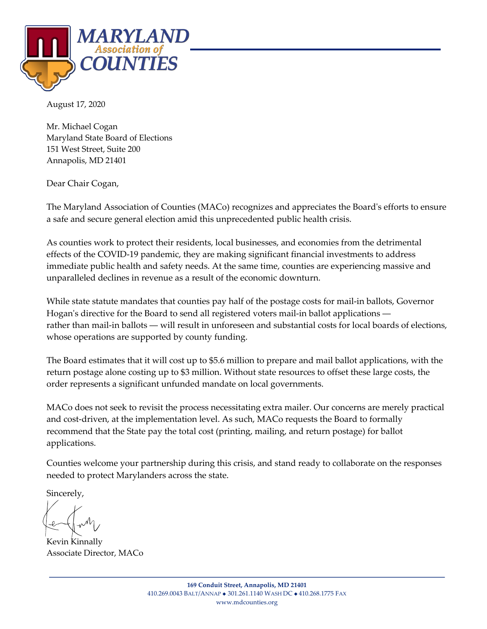

August 17, 2020

Mr. Michael Cogan Maryland State Board of Elections 151 West Street, Suite 200 Annapolis, MD 21401

Dear Chair Cogan,

The Maryland Association of Counties (MACo) recognizes and appreciates the Board's efforts to ensure a safe and secure general election amid this unprecedented public health crisis.

As counties work to protect their residents, local businesses, and economies from the detrimental effects of the COVID-19 pandemic, they are making significant financial investments to address immediate public health and safety needs. At the same time, counties are experiencing massive and unparalleled declines in revenue as a result of the economic downturn.

While state statute mandates that counties pay half of the postage costs for mail-in ballots, Governor Hogan's directive for the Board to send all registered voters mail-in ballot applications rather than mail-in ballots — will result in unforeseen and substantial costs for local boards of elections, whose operations are supported by county funding.

The Board estimates that it will cost up to \$5.6 million to prepare and mail ballot applications, with the return postage alone costing up to \$3 million. Without state resources to offset these large costs, the order represents a significant unfunded mandate on local governments.

MACo does not seek to revisit the process necessitating extra mailer. Our concerns are merely practical and cost-driven, at the implementation level. As such, MACo requests the Board to formally recommend that the State pay the total cost (printing, mailing, and return postage) for ballot applications.

Counties welcome your partnership during this crisis, and stand ready to collaborate on the responses needed to protect Marylanders across the state.

Sincerely,

Kevin Kinnally Associate Director, MACo